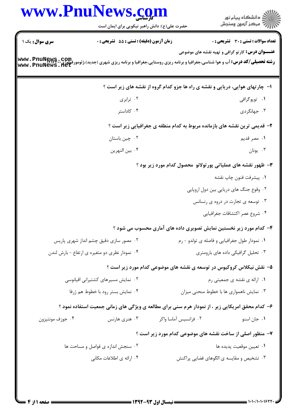## www.PnuNews.com ار<br>اگر دانشگاه پیام نور<br>اگر مرکز آزمون وسنجش حضرت علی(ع): دانش راهبر نیکویی برای ایمان است **تعداد سوالات : تستي : 30 - تشريحي : 0** سری سوال : یک ۱ زمان آزمون (دقيقه) : تستى : 55 ٪ تشريحي : 0 **عنـــوان درس:** کارتو گرافی و تهیه نقشه های موضوعی **www . PnuNews . com.**<br>Www . PnuNews . net<br>Www . PnuNews . net ۱- چارتهای هوایی، دریایی و نقشه ی راه ها جزو کدام گروه از نقشه های زیر است ؟ ۰۲ ترابری ۰۱ توپوگرافی ۰۴ کاداستر ۰۳ جهانگردی ۲- قدیمی ترین نقشه های بازمانده مربوط به کدام منطقه ی جغرافیایی زیر است ؟ ۰۲ چین باستان ۰۱ مصر قدیم ۴ . بين النهرين ۰۳ يونان ۳- ظهور نقشه های عملیاتی پورتولانو محصول کدام مورد زیر بود ؟ ٠١. ييشرفت فنون چاپ نقشه ۲. وقوع جنگ های دریایی بین دول اروپایی ۰۳ توسعه ی تجارت در دروه ی رنسانس ۰۴ شروع عصر اكتشافات جغرافيايي ۴- کدام مورد زیر نخستین نمایش تصویری داده های آماری محسوب می شود ؟ ۰۲ مصور سازی دقیق چشم انداز شهری پاریس ۰۱ نمودار طول جغرافیایی و فاصله ی تولدو - رم ۰۴ نمودار نظری دو متغیره ی ارتفاع - بارش لندن ۰۳ تحلیل گرافیکی داده های بارومتری ۵– نقش نیکلاس کروکیوس در توسعه ی نقشه های موضوعی کدام مورد زیر است ؟ ۰۲ نمایش مسیرهای کشتیرانی اقیانوسی ۰۱ ارائه ي نقشه ي جمعيتي رم ۰۴ نمایش بستر رود با خطوط هم ژرفا ۰۳ نمایش ناهمواری ها با خطوط منحنی میزان ۶– کدام محقق امریکایی زیر ، از نمودار هرم سنی برای مطالعه ی ویژگی های زمانی جمعیت استفاده نمود ؟ ۰۴ جوزف مونتيزون ۰۳ هنری هارنس ۰۲ فرانسیس آماسا واکر ۰۱ جان اسنو ۷- منظور اصلی از ساخت نقشه های موضوعی کدام مورد زیر است ؟ ۰۲ سنجش اندازه ی فواصل و مساحت ها ٠١ تعيين موقعيت يديده ها ۰۴ ارائه ی اطلاعات مکانی ۰۳ تشخیص و مقایسه ی الگوهای فضایی پراکنش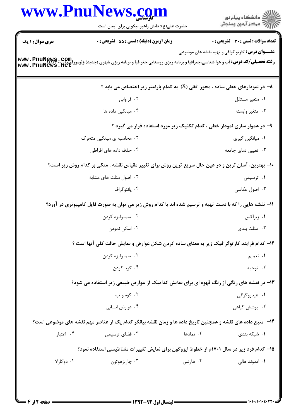|                        | حضرت علی(ع): دانش راهبر نیکویی برای ایمان است                                                                       |           | ڪ دانشڪاه پيا <sub>م</sub> نور<br>∕7 مرڪز آزمون وسنڊش   |
|------------------------|---------------------------------------------------------------------------------------------------------------------|-----------|---------------------------------------------------------|
| <b>سری سوال : ۱ یک</b> | <b>زمان آزمون (دقیقه) : تستی : 55 تشریحی : 0</b>                                                                    |           | تعداد سوالات : تستى : 30 - تشريحي : 0                   |
|                        | <b>www . PnuNews . com.</b><br>MWW . PnuNews . net<br>WWW . PnuNews . net                                           |           | <b>عنـــوان درس:</b> کارتو گرافی و تهیه نقشه های موضوعی |
|                        | ۸− در نمودارهای خطی ساده ، محور افقی (X) به کدام پارامتر زیر اختصاص می یابد ؟                                       |           |                                                         |
|                        | ۰۲ فراوانی                                                                                                          |           | ۰۱ متغیر مستقل                                          |
|                        | ۰۴ میانگین داده ها                                                                                                  |           | ۰۳ متغير وابسته                                         |
|                        | ۹- در هموار سازی نمودار خطی ، کدام تکنیک زیر مورد استفاده قرار می گیرد ؟                                            |           |                                                         |
|                        | ۰۲ محاسبه ی میانگین متحرک                                                                                           |           | ٠١ ميانگين گيري                                         |
|                        | ۰۴ حذف داده های افراطی                                                                                              |           | ۰۳ تعیین نمای جامعه                                     |
|                        | ۱۰− بهترین، آسان ترین و در عین حال سریع ترین روش برای تغییر مقیاس نقشه ، متکی بر کدام روش زیر است؟                  |           |                                                         |
|                        | ۰۲ اصول مثلث های مشابه                                                                                              |           | ۰۱ ترسیمی                                               |
|                        | ۰۴ پانتوگراف                                                                                                        |           | ۰۳ اصول عکاسی                                           |
|                        | 11- نقشه هایی را که با دست تهیه و ترسیم شده اند با کدام روش زیر می توان به صورت فایل کامپیوتری در آورد؟             |           |                                                         |
|                        | ۰۲ سمبوليزه کردن                                                                                                    |           | ۰۱ زیراکس                                               |
|                        | ۰۴ اسکن نمودن                                                                                                       |           | ۰۳ مثلث بندی                                            |
|                        | ۱۲- کدام فرایند کارتوگرافیک زیر به معنای ساده کردن شکل عوارض و نمایش حالت کلی آنها است ؟                            |           |                                                         |
|                        | ۰۲ سمبولیزه کردن                                                                                                    |           | ۰۱ تعمیم                                                |
|                        | ۰۴ گویا کردن                                                                                                        |           | ۰۳ توجيه                                                |
|                        | ۱۳- در نقشه های رنگی از رنگ قهوه ای برای نمایش کدامیک از عوارض طبیعی زیر استفاده می شود؟                            |           |                                                         |
|                        | ۰۲ کوه و تپه                                                                                                        |           | ۰۱ هیدروگرافی                                           |
|                        | ۰۴ عوارض انسانی                                                                                                     |           | ۰۳ پوشش گیاهی                                           |
|                        | <b>۱۴</b> -  منبع داده های نقشه و همچنین تاریخ داده ها و زمان نقشه بیانگر کدام یک از عناصر مهم نقشه های موضوعی است؟ |           |                                                         |
| ۰۴ اعتبار              | ۰۳ فضای ترسیمی                                                                                                      | ۰۲ نمادها | ۰۱ شبکه بندی                                            |
|                        | ۱۵– کدام فرد زیر در سال ۱۷۰۱م از خطوط ایزوگون برای نمایش تغییرات مغناطیسی استفاده نمود؟                             |           |                                                         |
| ۰۴ دوکارلا             | ۰۳ چارلزهوتون                                                                                                       | ۰۲ هارنس  | ۰۱ ادموند هال <sub>ی</sub>                              |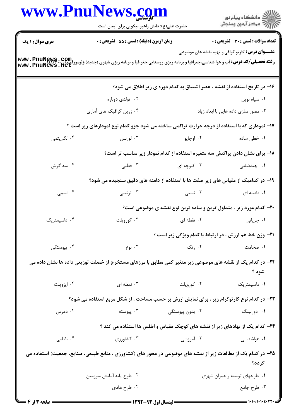|                        | www.PnuNews.com<br>حضرت علی(ع): دانش راهبر نیکویی برای ایمان است                                              |                 | ِ<br>∭ دانشڪاه پيام نور<br>∭ مرڪز آزمون وسنڊش                                |  |  |
|------------------------|---------------------------------------------------------------------------------------------------------------|-----------------|------------------------------------------------------------------------------|--|--|
| <b>سری سوال : ۱ یک</b> | زمان آزمون (دقیقه) : تستی : 55 آتشریحی : 0                                                                    |                 | <b>تعداد سوالات : تستي : 30 ٪ تشريحي : 0</b>                                 |  |  |
|                        | <b>www . PnuNews . com.</b><br>Mww . PnuNews . net<br>www . PnuNews . net                                     |                 | <b>عنـــوان درس:</b> کار <i>ت</i> و گرافی و تهیه نقشه های موضوعی             |  |  |
|                        |                                                                                                               |                 | ۱۶– در تاریخ استفاده از نقشه ، عصر اشتیاق به کدام دوره ی زیر اطلاق می شود؟   |  |  |
|                        | ۰۲ تولدی دوباره                                                                                               |                 | ۰۱ سیاه نوین                                                                 |  |  |
|                        | ۰۴ زرین گرافیک های آماری                                                                                      |                 | ۰۳ مصور سازی داده هایی با ابعاد زیاد                                         |  |  |
|                        | ۱۷- نموداری که با استفاده از درجه حرارت تراکمی ساخته می شود جزو کدام نوع نمودارهای زیر است ؟                  |                 |                                                                              |  |  |
| ۰۴ لگاريتمي            | ۰۳ لورنس                                                                                                      | ۰۲ اوجايو       | ۰۱ خطی ساده                                                                  |  |  |
|                        |                                                                                                               |                 | ۱۸– برای نشان دادن پراکنش سه متغیره استفاده از کدام نمودار زیر مناسب تر است؟ |  |  |
| ۰۴ سه گوش              | ۰۳ قطبی                                                                                                       | ۰۲ کلوچه ای     | ۰۱ چندضلعی                                                                   |  |  |
|                        | ۱۹- در کدامیک از مقیاس های زیر صفت ها با استفاده از دامنه های دقیق سنجیده می شود؟                             |                 |                                                                              |  |  |
| ۰۴ اسمی                | ۰۳ ترتیبی                                                                                                     | ۰۲ نسبی         | ۰۱ فاصله ای                                                                  |  |  |
|                        |                                                                                                               |                 | +۲- کدام مورد زیر ، متداول ترین و ساده ترین نوع نقشه ی موضوعی است؟           |  |  |
| ۰۴ داسیمتریک           | ۰۳ کوروپلت                                                                                                    | ۰۲ نقطه ای      | ۰۱ جریانی                                                                    |  |  |
|                        |                                                                                                               |                 | <b>۲۱- وزن خط هم ارزش ، در ارتباط با کدام ویژگی زیر است</b> ؟                |  |  |
| ۰۴ پیوستگی             | ۰۳ نوع                                                                                                        | ۰۲ رنگ          | ۰۱ ضخامت                                                                     |  |  |
|                        | ۲۲– در کدام یک از نقشه های موضوعی زیر متغیر کمی مطابق با مرزهای مستخرج از خصلت توزیعی داده ها نشان داده می    |                 | شود ؟                                                                        |  |  |
| ۰۴ ايزوپلت             | ۰۳ نقطه ای                                                                                                    | ۰۲ کوروپلت      | ٠١ داسيمتريک                                                                 |  |  |
|                        | ۲۳- در کدام نوع کارتوگرام زیر ، برای نمایش ارزش بر حسب مساحت ، از شکل مربع استفاده می شود؟                    |                 |                                                                              |  |  |
| ۰۴ دمرس                | ۰۳ پیوسته                                                                                                     | ۰۲ بدون پیوستگی | ۰۱ دورلینگ                                                                   |  |  |
|                        |                                                                                                               |                 | ۲۴- کدام یک از نهادهای زیر از نقشه های کوچک مقیاس و اطلس ها استفاده می کند ؟ |  |  |
| ۰۴ نظامی               | ۰۳ کشاورزی                                                                                                    | ۰۲ آموزشی       | ۰۱ هواشناسی                                                                  |  |  |
|                        | ۲۵– در کدام یک از مطالعات زیر از نقشه های موضوعی در محور های (کشاورزی ، منابع طبیعی، صنایع، جمعیت) استفاده می |                 | گر دد؟                                                                       |  |  |
|                        | ۰۲ طرح پایه آمایش سرزمین                                                                                      |                 | ۰۱ طرحهای توسعه و عمران شهری                                                 |  |  |
|                        | ۰۴ طرح هادي                                                                                                   |                 | ۰۳ طرح جامع                                                                  |  |  |
|                        |                                                                                                               |                 |                                                                              |  |  |